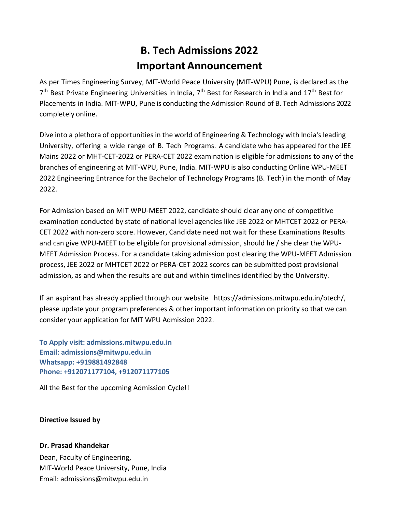## **B. Tech Admissions 2022 Important Announcement**

As per Times Engineering Survey, MIT-World Peace University (MIT-WPU) Pune, is declared as the 7<sup>th</sup> Best Private Engineering Universities in India, 7<sup>th</sup> Best for Research in India and 17<sup>th</sup> Best for Placements in India. MIT-WPU, Pune is conducting the Admission Round of B. Tech Admissions 2022 completely online.

Dive into a plethora of opportunities in the world of Engineering & Technology with India's leading University, offering a wide range of B. Tech Programs. A candidate who has appeared for the JEE Mains 2022 or MHT-CET-2022 or PERA-CET 2022 examination is eligible for admissions to any of the branches of engineering at MIT-WPU, Pune, India. MIT-WPU is also conducting Online WPU-MEET 2022 Engineering Entrance for the Bachelor of Technology Programs (B. Tech) in the month of May 2022.

For Admission based on MIT WPU-MEET 2022, candidate should clear any one of competitive examination conducted by state of national level agencies like JEE 2022 or MHTCET 2022 or PERA-CET 2022 with non-zero score. However, Candidate need not wait for these Examinations Results and can give WPU-MEET to be eligible for provisional admission, should he / she clear the WPU-MEET Admission Process. For a candidate taking admission post clearing the WPU-MEET Admission process, JEE 2022 or MHTCET 2022 or PERA-CET 2022 scores can be submitted post provisional admission, as and when the results are out and within timelines identified by the University.

If an aspirant has already applied through our website [https://admissions.mitwpu.edu.in/btech/,](https://mitwpu.edu.in/)  please update your program preferences & other important information on priority so that we can consider your application for MIT WPU Admission 2022.

**To Apply visit: admissions.mitwpu.edu.in Email: admissions@mitwpu.edu.in Whatsapp: +919881492848 Phone: +912071177104, +912071177105**

All the Best for the upcoming Admission Cycle!!

## **Directive Issued by**

## **Dr. Prasad Khandekar**

Dean, Faculty of Engineering, MIT-World Peace University, Pune, India Em[ail: admissions@mitwpu.edu.in](mailto:admissions@mitwpu.edu.in)